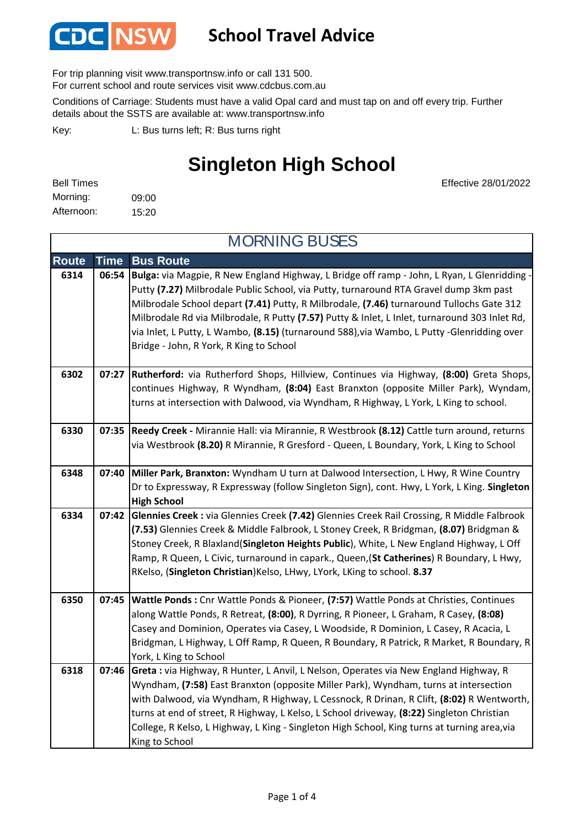

### **School Travel Advice**

For trip planning visit www.transportnsw.info or call 131 500.

For current school and route services visit www.cdcbus.com.au

Conditions of Carriage: Students must have a valid Opal card and must tap on and off every trip. Further details about the SSTS are available at: www.transportnsw.info

L: Bus turns left; R: Bus turns right Key:

King to School

## **Singleton High School**

Effective 28/01/2022

| <b>Bell Times</b> |       |
|-------------------|-------|
| Morning:          | 09:00 |
| Afternoon:        | 15:20 |

**Route Time Bus Route 6314 06:54 Bulga:** via Magpie, R New England Highway, L Bridge off ramp - John, L Ryan, L Glenridding - Putty **(7.27)** Milbrodale Public School, via Putty, turnaround RTA Gravel dump 3km past Milbrodale School depart **(7.41)** Putty, R Milbrodale, **(7.46)** turnaround Tullochs Gate 312 Milbrodale Rd via Milbrodale, R Putty **(7.57)** Putty & Inlet, L Inlet, turnaround 303 Inlet Rd, via Inlet, L Putty, L Wambo, **(8.15)** (turnaround 588),via Wambo, L Putty -Glenridding over Bridge - John, R York, R King to School **6302 07:27 Rutherford:** via Rutherford Shops, Hillview, Continues via Highway, **(8:00)** Greta Shops, continues Highway, R Wyndham, **(8:04)** East Branxton (opposite Miller Park), Wyndam, turns at intersection with Dalwood, via Wyndham, R Highway, L York, L King to school. **6330 07:35 Reedy Creek -** Mirannie Hall: via Mirannie, R Westbrook **(8.12)** Cattle turn around, returns via Westbrook **(8.20)** R Mirannie, R Gresford - Queen, L Boundary, York, L King to School **6348 07:40 Miller Park, Branxton:** Wyndham U turn at Dalwood Intersection, L Hwy, R Wine Country Dr to Expressway, R Expressway (follow Singleton Sign), cont. Hwy, L York, L King. **Singleton High School 6334 07:42 Glennies Creek :** via Glennies Creek **(7.42)** Glennies Creek Rail Crossing, R Middle Falbrook **(7.53)** Glennies Creek & Middle Falbrook, L Stoney Creek, R Bridgman, **(8.07)** Bridgman & Stoney Creek, R Blaxland(**Singleton Heights Public**), White, L New England Highway, L Off Ramp, R Queen, L Civic, turnaround in capark., Queen,(**St Catherines**) R Boundary, L Hwy, RKelso, (**Singleton Christian**)Kelso, LHwy, LYork, LKing to school. **8.37 6350 07:45 Wattle Ponds :** Cnr Wattle Ponds & Pioneer, **(7:57)** Wattle Ponds at Christies, Continues along Wattle Ponds, R Retreat, **(8:00)**, R Dyrring, R Pioneer, L Graham, R Casey, **(8:08)**  Casey and Dominion, Operates via Casey, L Woodside, R Dominion, L Casey, R Acacia, L Bridgman, L Highway, L Off Ramp, R Queen, R Boundary, R Patrick, R Market, R Boundary, R York, L King to School **6318 07:46 Greta :** via Highway, R Hunter, L Anvil, L Nelson, Operates via New England Highway, R Wyndham, **(7:58)** East Branxton (opposite Miller Park), Wyndham, turns at intersection with Dalwood, via Wyndham, R Highway, L Cessnock, R Drinan, R Clift, **(8:02)** R Wentworth, turns at end of street, R Highway, L Kelso, L School driveway, **(8:22)** Singleton Christian College, R Kelso, L Highway, L King - Singleton High School, King turns at turning area,via MORNING BUSES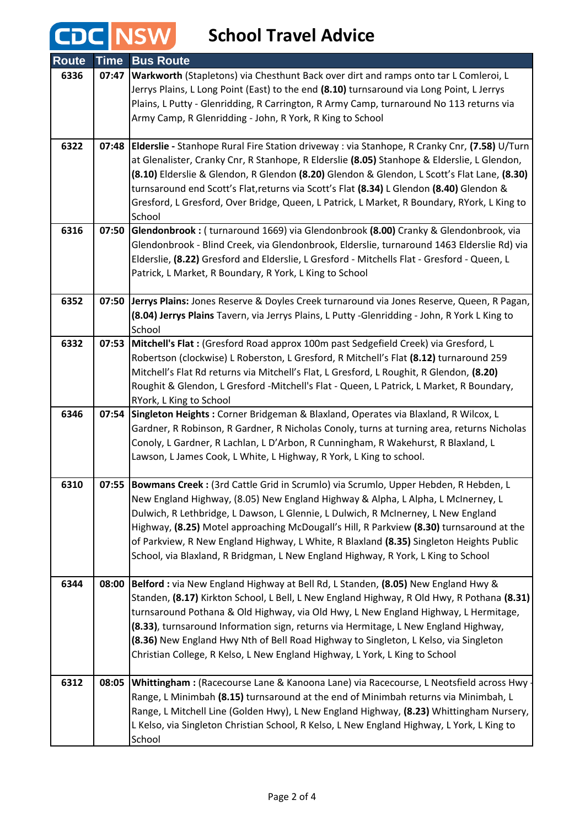# **CDC** NSW School Travel Advice

| <b>Route</b> | <b>Time</b> | <b>Bus Route</b>                                                                                                                                                                      |
|--------------|-------------|---------------------------------------------------------------------------------------------------------------------------------------------------------------------------------------|
| 6336         | 07:47       | Warkworth (Stapletons) via Chesthunt Back over dirt and ramps onto tar L Comleroi, L                                                                                                  |
|              |             | Jerrys Plains, L Long Point (East) to the end (8.10) turnsaround via Long Point, L Jerrys                                                                                             |
|              |             | Plains, L Putty - Glenridding, R Carrington, R Army Camp, turnaround No 113 returns via                                                                                               |
|              |             | Army Camp, R Glenridding - John, R York, R King to School                                                                                                                             |
| 6322         |             | 07:48 Elderslie - Stanhope Rural Fire Station driveway : via Stanhope, R Cranky Cnr, (7.58) U/Turn                                                                                    |
|              |             | at Glenalister, Cranky Cnr, R Stanhope, R Elderslie (8.05) Stanhope & Elderslie, L Glendon,                                                                                           |
|              |             | (8.10) Elderslie & Glendon, R Glendon (8.20) Glendon & Glendon, L Scott's Flat Lane, (8.30)                                                                                           |
|              |             | turnsaround end Scott's Flat,returns via Scott's Flat (8.34) L Glendon (8.40) Glendon &                                                                                               |
|              |             | Gresford, L Gresford, Over Bridge, Queen, L Patrick, L Market, R Boundary, RYork, L King to<br>School                                                                                 |
| 6316         | 07:50       | Glendonbrook: (turnaround 1669) via Glendonbrook (8.00) Cranky & Glendonbrook, via                                                                                                    |
|              |             | Glendonbrook - Blind Creek, via Glendonbrook, Elderslie, turnaround 1463 Elderslie Rd) via                                                                                            |
|              |             | Elderslie, (8.22) Gresford and Elderslie, L Gresford - Mitchells Flat - Gresford - Queen, L                                                                                           |
|              |             | Patrick, L Market, R Boundary, R York, L King to School                                                                                                                               |
| 6352         | 07:50       | Jerrys Plains: Jones Reserve & Doyles Creek turnaround via Jones Reserve, Queen, R Pagan,                                                                                             |
|              |             | (8.04) Jerrys Plains Tavern, via Jerrys Plains, L Putty -Glenridding - John, R York L King to                                                                                         |
|              |             | School                                                                                                                                                                                |
| 6332         | 07:53       | Mitchell's Flat: (Gresford Road approx 100m past Sedgefield Creek) via Gresford, L                                                                                                    |
|              |             | Robertson (clockwise) L Roberston, L Gresford, R Mitchell's Flat (8.12) turnaround 259                                                                                                |
|              |             | Mitchell's Flat Rd returns via Mitchell's Flat, L Gresford, L Roughit, R Glendon, (8.20)<br>Roughit & Glendon, L Gresford -Mitchell's Flat - Queen, L Patrick, L Market, R Boundary,  |
|              |             | RYork, L King to School                                                                                                                                                               |
| 6346         | 07:54       | Singleton Heights: Corner Bridgeman & Blaxland, Operates via Blaxland, R Wilcox, L                                                                                                    |
|              |             | Gardner, R Robinson, R Gardner, R Nicholas Conoly, turns at turning area, returns Nicholas                                                                                            |
|              |             | Conoly, L Gardner, R Lachlan, L D'Arbon, R Cunningham, R Wakehurst, R Blaxland, L                                                                                                     |
|              |             | Lawson, L James Cook, L White, L Highway, R York, L King to school.                                                                                                                   |
| 6310         |             | 07:55 Bowmans Creek : (3rd Cattle Grid in Scrumlo) via Scrumlo, Upper Hebden, R Hebden, L                                                                                             |
|              |             | New England Highway, (8.05) New England Highway & Alpha, L Alpha, L McInerney, L                                                                                                      |
|              |             | Dulwich, R Lethbridge, L Dawson, L Glennie, L Dulwich, R McInerney, L New England                                                                                                     |
|              |             | Highway, (8.25) Motel approaching McDougall's Hill, R Parkview (8.30) turnsaround at the                                                                                              |
|              |             | of Parkview, R New England Highway, L White, R Blaxland (8.35) Singleton Heights Public<br>School, via Blaxland, R Bridgman, L New England Highway, R York, L King to School          |
|              |             |                                                                                                                                                                                       |
| 6344         | 08:00       | Belford : via New England Highway at Bell Rd, L Standen, (8.05) New England Hwy &                                                                                                     |
|              |             | Standen, (8.17) Kirkton School, L Bell, L New England Highway, R Old Hwy, R Pothana (8.31)                                                                                            |
|              |             | turnsaround Pothana & Old Highway, via Old Hwy, L New England Highway, L Hermitage,<br>(8.33), turnsaround Information sign, returns via Hermitage, L New England Highway,            |
|              |             | (8.36) New England Hwy Nth of Bell Road Highway to Singleton, L Kelso, via Singleton                                                                                                  |
|              |             | Christian College, R Kelso, L New England Highway, L York, L King to School                                                                                                           |
|              |             |                                                                                                                                                                                       |
| 6312         | 08:05       | Whittingham: (Racecourse Lane & Kanoona Lane) via Racecourse, L Neotsfield across Hwy -                                                                                               |
|              |             | Range, L Minimbah (8.15) turnsaround at the end of Minimbah returns via Minimbah, L                                                                                                   |
|              |             | Range, L Mitchell Line (Golden Hwy), L New England Highway, (8.23) Whittingham Nursery,<br>L Kelso, via Singleton Christian School, R Kelso, L New England Highway, L York, L King to |
|              |             | School                                                                                                                                                                                |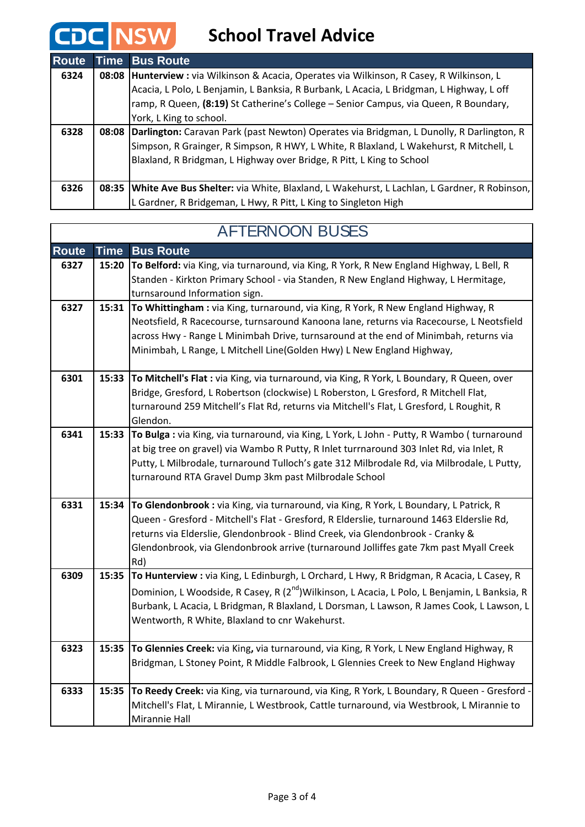#### **NSW School Travel Advice**

**CDC** 

 $\mathsf{l}$ 

| <b>Route</b> |       | <b>Time Bus Route</b>                                                                              |
|--------------|-------|----------------------------------------------------------------------------------------------------|
| 6324         |       | 08:08   Hunterview : via Wilkinson & Acacia, Operates via Wilkinson, R Casey, R Wilkinson, L       |
|              |       | Acacia, L Polo, L Benjamin, L Banksia, R Burbank, L Acacia, L Bridgman, L Highway, L off           |
|              |       | ramp, R Queen, (8:19) St Catherine's College - Senior Campus, via Queen, R Boundary,               |
|              |       | York, L King to school.                                                                            |
| 6328         | 08:08 | Darlington: Caravan Park (past Newton) Operates via Bridgman, L Dunolly, R Darlington, R           |
|              |       | Simpson, R Grainger, R Simpson, R HWY, L White, R Blaxland, L Wakehurst, R Mitchell, L             |
|              |       | Blaxland, R Bridgman, L Highway over Bridge, R Pitt, L King to School                              |
|              |       |                                                                                                    |
| 6326         |       | 08:35   White Ave Bus Shelter: via White, Blaxland, L Wakehurst, L Lachlan, L Gardner, R Robinson, |
|              |       | L Gardner, R Bridgeman, L Hwy, R Pitt, L King to Singleton High                                    |

| <b>Route</b> | <b>Time</b> | <b>Bus Route</b>                                                                                                                                                                 |
|--------------|-------------|----------------------------------------------------------------------------------------------------------------------------------------------------------------------------------|
| 6327         | 15:20       | To Belford: via King, via turnaround, via King, R York, R New England Highway, L Bell, R                                                                                         |
|              |             | Standen - Kirkton Primary School - via Standen, R New England Highway, L Hermitage,                                                                                              |
|              |             | turnsaround Information sign.                                                                                                                                                    |
| 6327         | 15:31       | To Whittingham: via King, turnaround, via King, R York, R New England Highway, R                                                                                                 |
|              |             | Neotsfield, R Racecourse, turnsaround Kanoona lane, returns via Racecourse, L Neotsfield<br>across Hwy - Range L Minimbah Drive, turnsaround at the end of Minimbah, returns via |
|              |             | Minimbah, L Range, L Mitchell Line(Golden Hwy) L New England Highway,                                                                                                            |
|              |             |                                                                                                                                                                                  |
| 6301         | 15:33       | To Mitchell's Flat : via King, via turnaround, via King, R York, L Boundary, R Queen, over                                                                                       |
|              |             | Bridge, Gresford, L Robertson (clockwise) L Roberston, L Gresford, R Mitchell Flat,                                                                                              |
|              |             | turnaround 259 Mitchell's Flat Rd, returns via Mitchell's Flat, L Gresford, L Roughit, R                                                                                         |
|              |             | Glendon.                                                                                                                                                                         |
| 6341         | 15:33       | To Bulga : via King, via turnaround, via King, L York, L John - Putty, R Wambo (turnaround                                                                                       |
|              |             | at big tree on gravel) via Wambo R Putty, R Inlet turrnaround 303 Inlet Rd, via Inlet, R                                                                                         |
|              |             | Putty, L Milbrodale, turnaround Tulloch's gate 312 Milbrodale Rd, via Milbrodale, L Putty,                                                                                       |
|              |             | turnaround RTA Gravel Dump 3km past Milbrodale School                                                                                                                            |
| 6331         | 15:34       | To Glendonbrook : via King, via turnaround, via King, R York, L Boundary, L Patrick, R                                                                                           |
|              |             | Queen - Gresford - Mitchell's Flat - Gresford, R Elderslie, turnaround 1463 Elderslie Rd,                                                                                        |
|              |             | returns via Elderslie, Glendonbrook - Blind Creek, via Glendonbrook - Cranky &                                                                                                   |
|              |             | Glendonbrook, via Glendonbrook arrive (turnaround Jolliffes gate 7km past Myall Creek                                                                                            |
|              |             | Rd)                                                                                                                                                                              |
| 6309         | 15:35       | To Hunterview : via King, L Edinburgh, L Orchard, L Hwy, R Bridgman, R Acacia, L Casey, R                                                                                        |
|              |             | Dominion, L Woodside, R Casey, R (2 <sup>nd</sup> )Wilkinson, L Acacia, L Polo, L Benjamin, L Banksia, R                                                                         |
|              |             | Burbank, L Acacia, L Bridgman, R Blaxland, L Dorsman, L Lawson, R James Cook, L Lawson, L                                                                                        |
|              |             | Wentworth, R White, Blaxland to cnr Wakehurst.                                                                                                                                   |
| 6323         | 15:35       | To Glennies Creek: via King, via turnaround, via King, R York, L New England Highway, R                                                                                          |
|              |             | Bridgman, L Stoney Point, R Middle Falbrook, L Glennies Creek to New England Highway                                                                                             |
| 6333         | 15:35       | To Reedy Creek: via King, via turnaround, via King, R York, L Boundary, R Queen - Gresford -                                                                                     |
|              |             | Mitchell's Flat, L Mirannie, L Westbrook, Cattle turnaround, via Westbrook, L Mirannie to                                                                                        |
|              |             | Mirannie Hall                                                                                                                                                                    |

### AFTERNOON BUSES